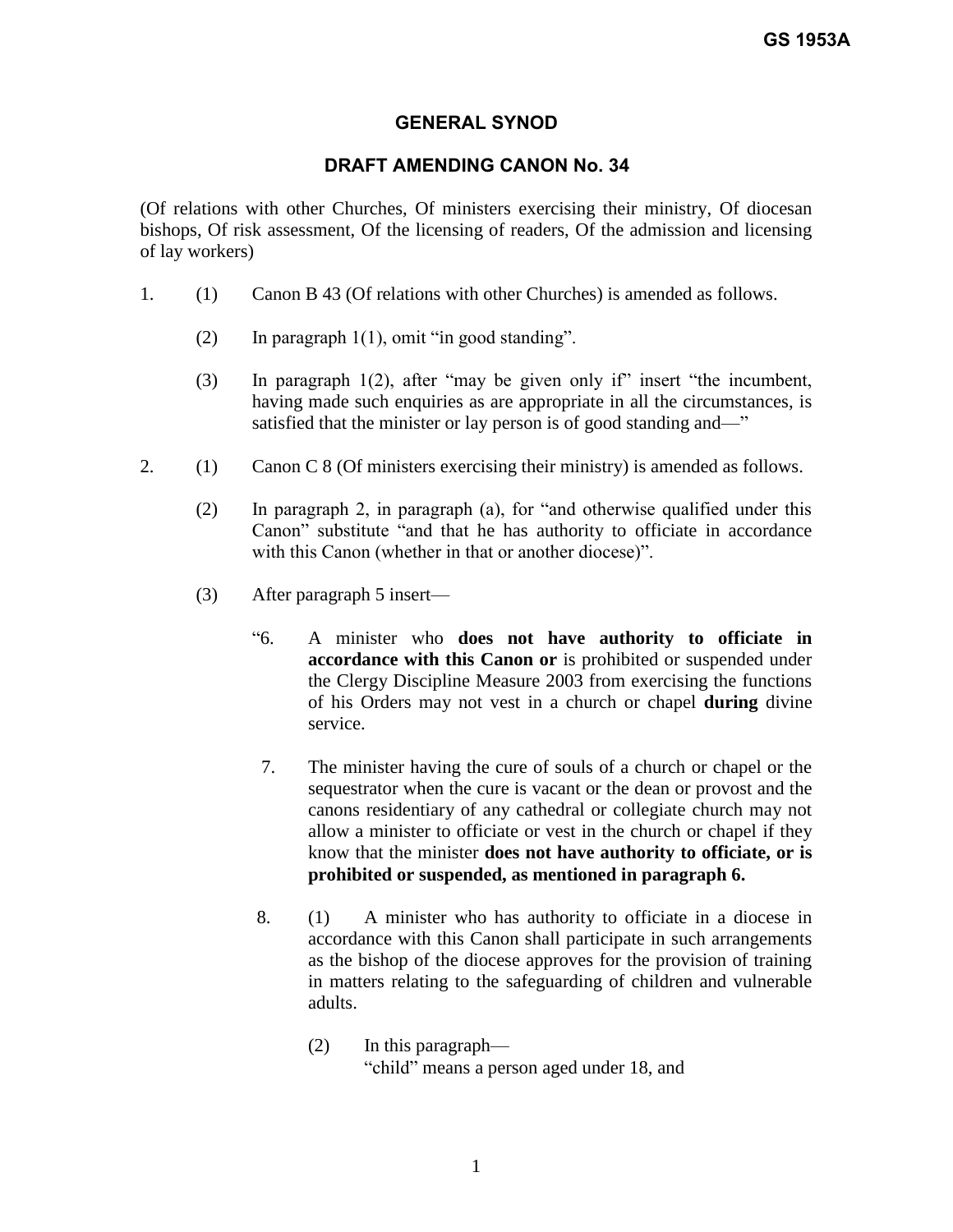## **GENERAL SYNOD**

# **DRAFT AMENDING CANON No. 34**

(Of relations with other Churches, Of ministers exercising their ministry, Of diocesan bishops, Of risk assessment, Of the licensing of readers, Of the admission and licensing of lay workers)

- 1. (1) Canon B 43 (Of relations with other Churches) is amended as follows.
	- (2) In paragraph  $1(1)$ , omit "in good standing".
	- (3) In paragraph 1(2), after "may be given only if" insert "the incumbent, having made such enquiries as are appropriate in all the circumstances, is satisfied that the minister or lay person is of good standing and—"
- 2. (1) Canon C 8 (Of ministers exercising their ministry) is amended as follows.
	- (2) In paragraph 2, in paragraph (a), for "and otherwise qualified under this Canon" substitute "and that he has authority to officiate in accordance with this Canon (whether in that or another diocese)".
	- (3) After paragraph 5 insert—
		- "6. A minister who **does not have authority to officiate in accordance with this Canon or** is prohibited or suspended under the Clergy Discipline Measure 2003 from exercising the functions of his Orders may not vest in a church or chapel **during** divine service.
		- 7. The minister having the cure of souls of a church or chapel or the sequestrator when the cure is vacant or the dean or provost and the canons residentiary of any cathedral or collegiate church may not allow a minister to officiate or vest in the church or chapel if they know that the minister **does not have authority to officiate, or is prohibited or suspended, as mentioned in paragraph 6.**
		- 8. (1) A minister who has authority to officiate in a diocese in accordance with this Canon shall participate in such arrangements as the bishop of the diocese approves for the provision of training in matters relating to the safeguarding of children and vulnerable adults.
			- (2) In this paragraph— "child" means a person aged under 18, and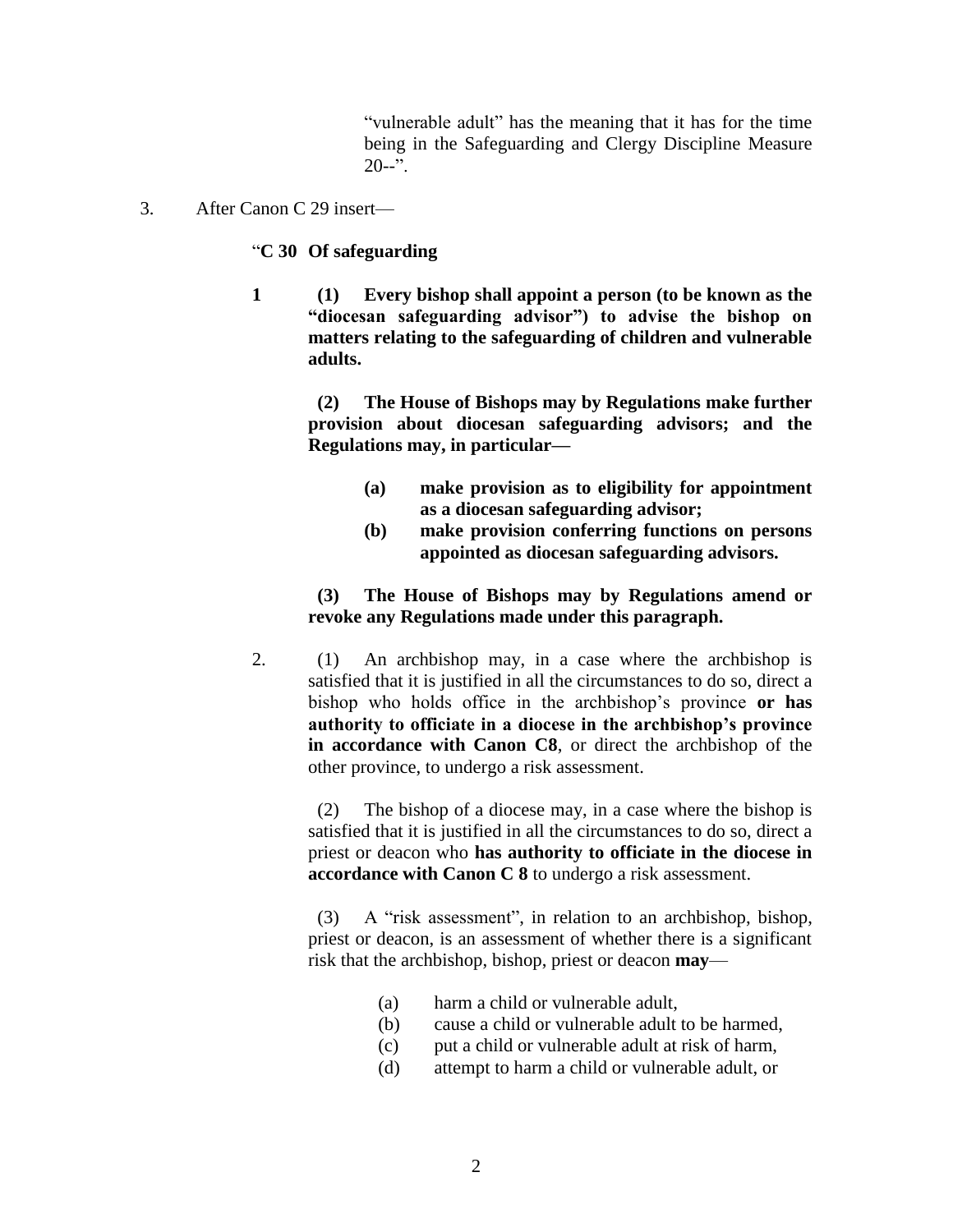"vulnerable adult" has the meaning that it has for the time being in the Safeguarding and Clergy Discipline Measure  $20 - 3$ .

3. After Canon C 29 insert—

### "**C 30 Of safeguarding**

**1 (1) Every bishop shall appoint a person (to be known as the "diocesan safeguarding advisor") to advise the bishop on matters relating to the safeguarding of children and vulnerable adults.**

> **(2) The House of Bishops may by Regulations make further provision about diocesan safeguarding advisors; and the Regulations may, in particular—**

- **(a) make provision as to eligibility for appointment as a diocesan safeguarding advisor;**
- **(b) make provision conferring functions on persons appointed as diocesan safeguarding advisors.**

## **(3) The House of Bishops may by Regulations amend or revoke any Regulations made under this paragraph.**

2. (1) An archbishop may, in a case where the archbishop is satisfied that it is justified in all the circumstances to do so, direct a bishop who holds office in the archbishop's province **or has authority to officiate in a diocese in the archbishop's province in accordance with Canon C8**, or direct the archbishop of the other province, to undergo a risk assessment.

> (2) The bishop of a diocese may, in a case where the bishop is satisfied that it is justified in all the circumstances to do so, direct a priest or deacon who **has authority to officiate in the diocese in accordance with Canon C 8** to undergo a risk assessment.

> (3) A "risk assessment", in relation to an archbishop, bishop, priest or deacon, is an assessment of whether there is a significant risk that the archbishop, bishop, priest or deacon **may**—

- (a) harm a child or vulnerable adult,
- (b) cause a child or vulnerable adult to be harmed,
- (c) put a child or vulnerable adult at risk of harm,
- (d) attempt to harm a child or vulnerable adult, or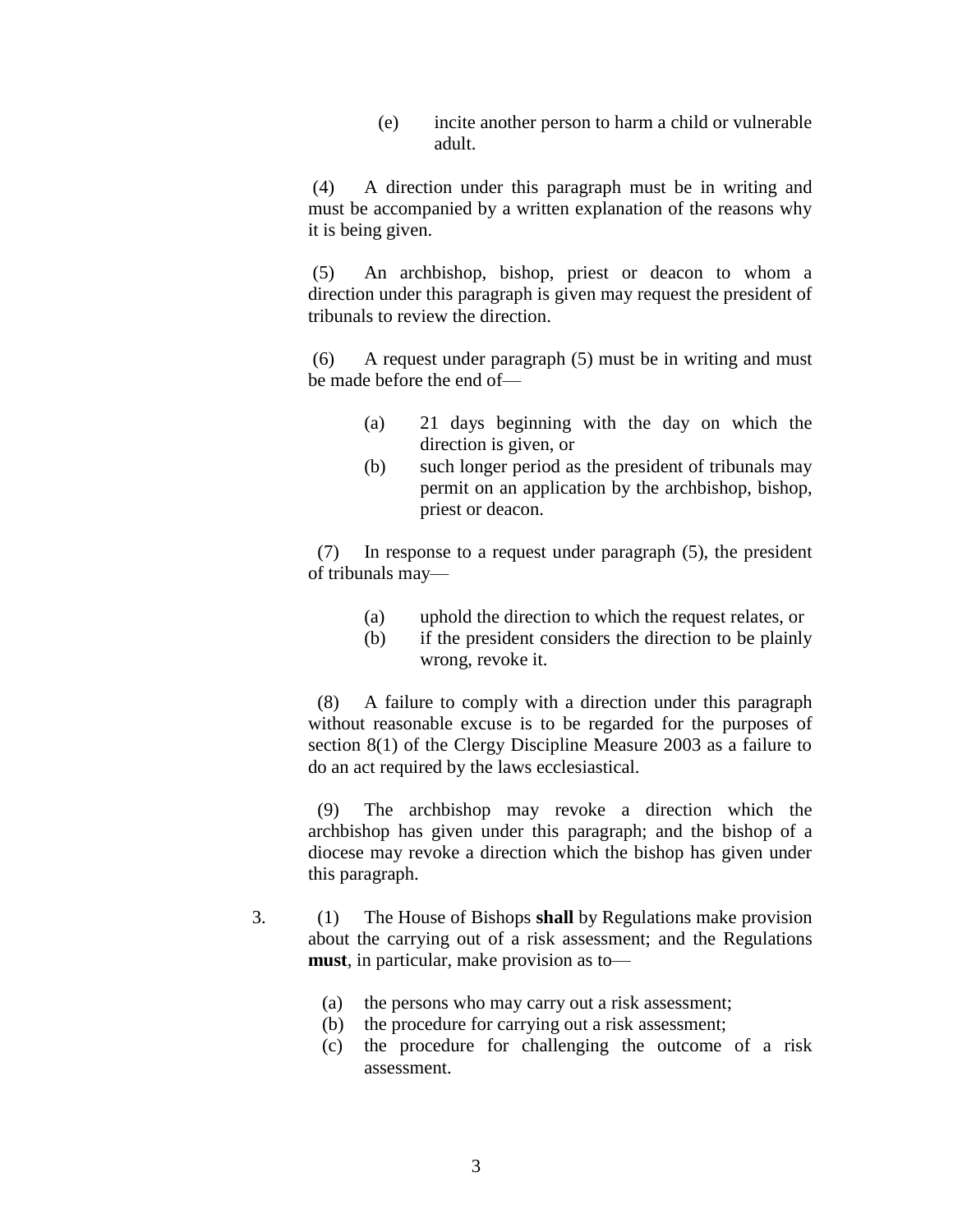(e) incite another person to harm a child or vulnerable adult.

(4) A direction under this paragraph must be in writing and must be accompanied by a written explanation of the reasons why it is being given.

(5) An archbishop, bishop, priest or deacon to whom a direction under this paragraph is given may request the president of tribunals to review the direction.

(6) A request under paragraph (5) must be in writing and must be made before the end of—

- (a) 21 days beginning with the day on which the direction is given, or
- (b) such longer period as the president of tribunals may permit on an application by the archbishop, bishop, priest or deacon.

 (7) In response to a request under paragraph (5), the president of tribunals may—

- (a) uphold the direction to which the request relates, or
- (b) if the president considers the direction to be plainly wrong, revoke it.

 (8) A failure to comply with a direction under this paragraph without reasonable excuse is to be regarded for the purposes of section 8(1) of the Clergy Discipline Measure 2003 as a failure to do an act required by the laws ecclesiastical.

 (9) The archbishop may revoke a direction which the archbishop has given under this paragraph; and the bishop of a diocese may revoke a direction which the bishop has given under this paragraph.

- 3. (1) The House of Bishops **shall** by Regulations make provision about the carrying out of a risk assessment; and the Regulations **must**, in particular, make provision as to—
	- (a) the persons who may carry out a risk assessment;
	- (b) the procedure for carrying out a risk assessment;
	- (c) the procedure for challenging the outcome of a risk assessment.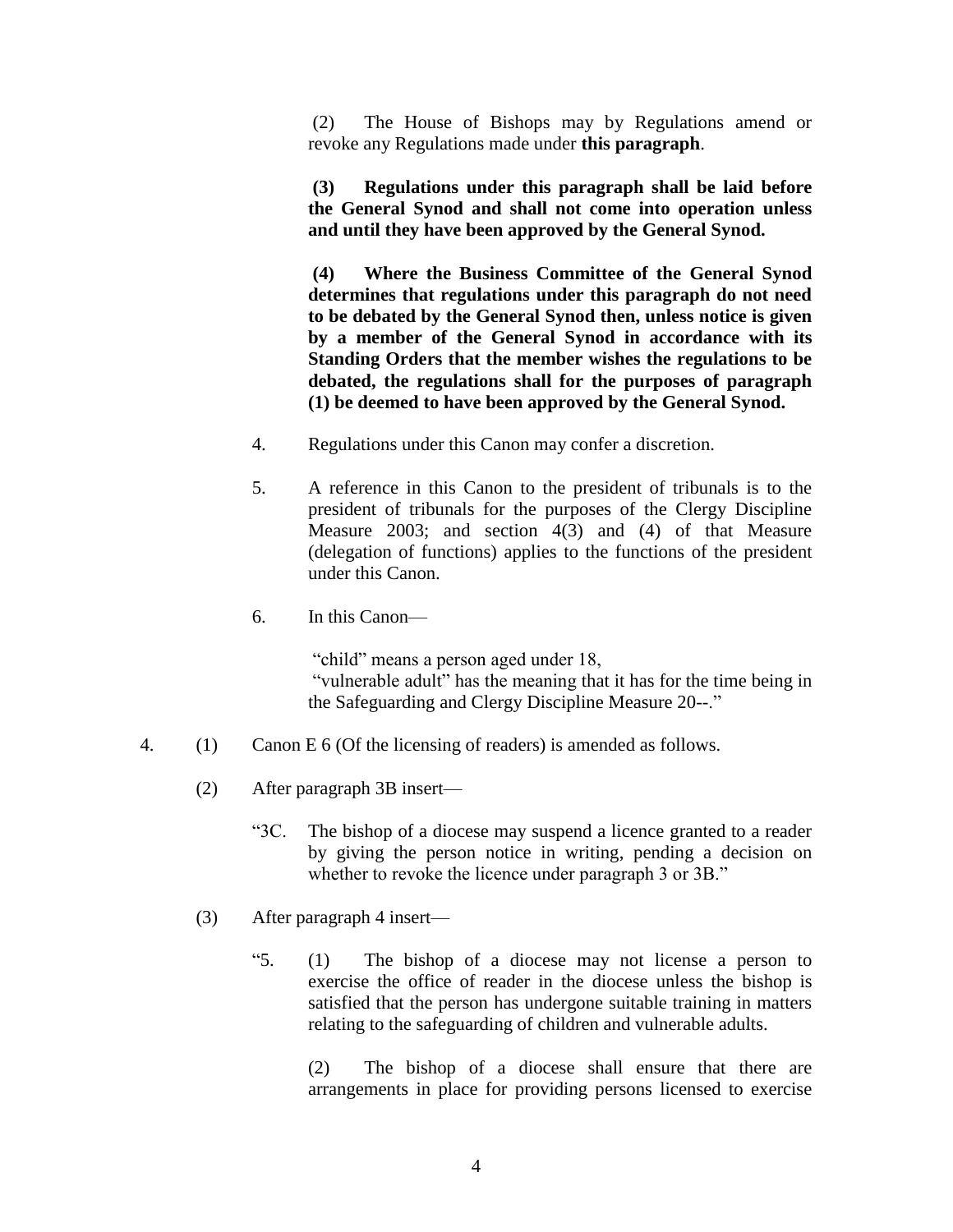(2) The House of Bishops may by Regulations amend or revoke any Regulations made under **this paragraph**.

**(3) Regulations under this paragraph shall be laid before the General Synod and shall not come into operation unless and until they have been approved by the General Synod.**

**(4) Where the Business Committee of the General Synod determines that regulations under this paragraph do not need to be debated by the General Synod then, unless notice is given by a member of the General Synod in accordance with its Standing Orders that the member wishes the regulations to be debated, the regulations shall for the purposes of paragraph (1) be deemed to have been approved by the General Synod.**

- 4. Regulations under this Canon may confer a discretion.
- 5. A reference in this Canon to the president of tribunals is to the president of tribunals for the purposes of the Clergy Discipline Measure 2003; and section 4(3) and (4) of that Measure (delegation of functions) applies to the functions of the president under this Canon.
- 6. In this Canon—

"child" means a person aged under 18, "vulnerable adult" has the meaning that it has for the time being in the Safeguarding and Clergy Discipline Measure 20--."

- 4. (1) Canon E 6 (Of the licensing of readers) is amended as follows.
	- (2) After paragraph 3B insert—
		- "3C. The bishop of a diocese may suspend a licence granted to a reader by giving the person notice in writing, pending a decision on whether to revoke the licence under paragraph 3 or 3B."
	- (3) After paragraph 4 insert—
		- "5. (1) The bishop of a diocese may not license a person to exercise the office of reader in the diocese unless the bishop is satisfied that the person has undergone suitable training in matters relating to the safeguarding of children and vulnerable adults.

(2) The bishop of a diocese shall ensure that there are arrangements in place for providing persons licensed to exercise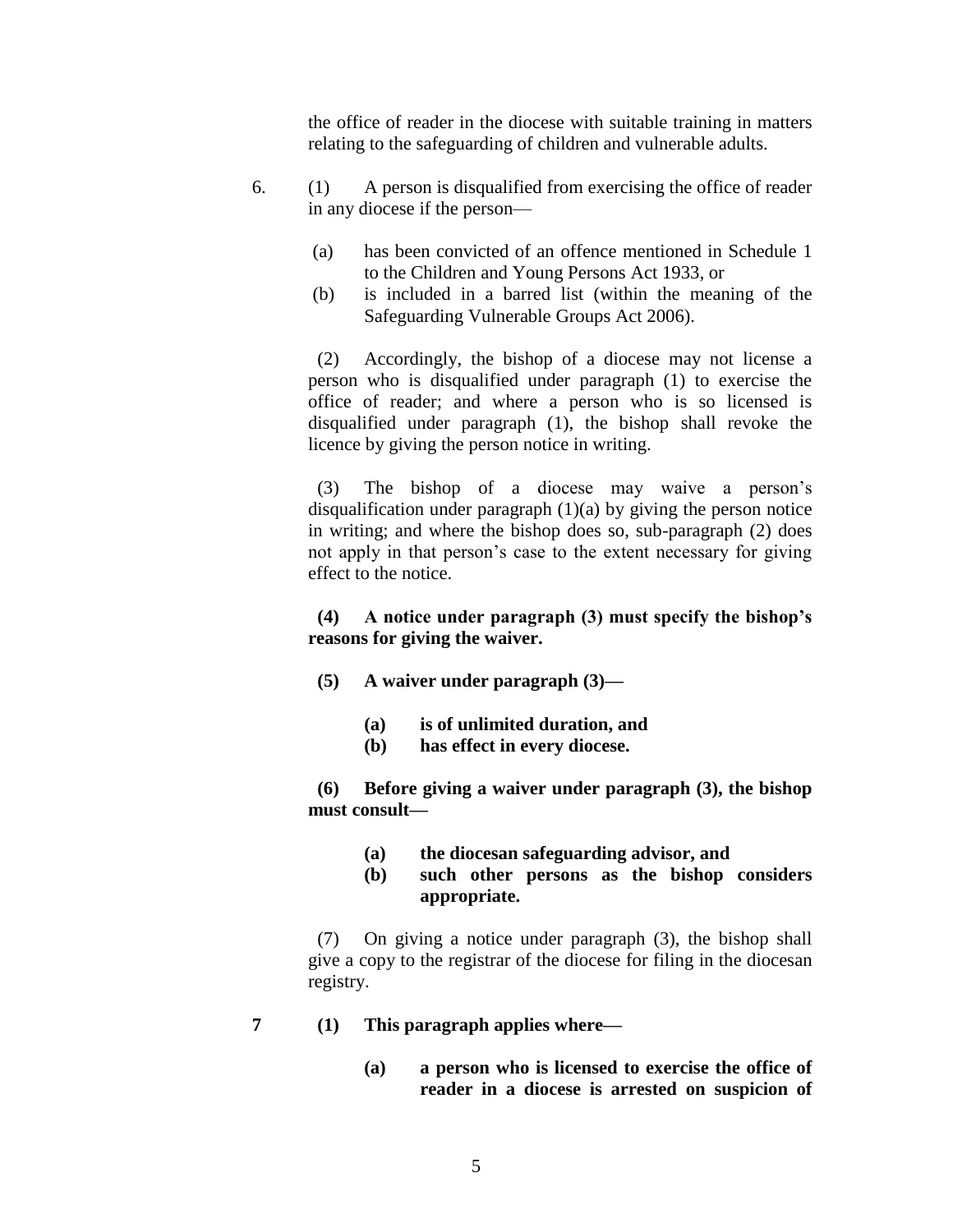the office of reader in the diocese with suitable training in matters relating to the safeguarding of children and vulnerable adults.

- 6. (1) A person is disqualified from exercising the office of reader in any diocese if the person—
	- (a) has been convicted of an offence mentioned in Schedule 1 to the Children and Young Persons Act 1933, or
	- (b) is included in a barred list (within the meaning of the Safeguarding Vulnerable Groups Act 2006).

 (2) Accordingly, the bishop of a diocese may not license a person who is disqualified under paragraph (1) to exercise the office of reader; and where a person who is so licensed is disqualified under paragraph (1), the bishop shall revoke the licence by giving the person notice in writing.

 (3) The bishop of a diocese may waive a person's disqualification under paragraph (1)(a) by giving the person notice in writing; and where the bishop does so, sub-paragraph (2) does not apply in that person's case to the extent necessary for giving effect to the notice.

## **(4) A notice under paragraph (3) must specify the bishop's reasons for giving the waiver.**

- **(5) A waiver under paragraph (3)—**
	- **(a) is of unlimited duration, and**
	- **(b) has effect in every diocese.**

 **(6) Before giving a waiver under paragraph (3), the bishop must consult—**

- **(a) the diocesan safeguarding advisor, and**
- **(b) such other persons as the bishop considers appropriate.**

 (7) On giving a notice under paragraph (3), the bishop shall give a copy to the registrar of the diocese for filing in the diocesan registry.

- **7 (1) This paragraph applies where—**
	- **(a) a person who is licensed to exercise the office of reader in a diocese is arrested on suspicion of**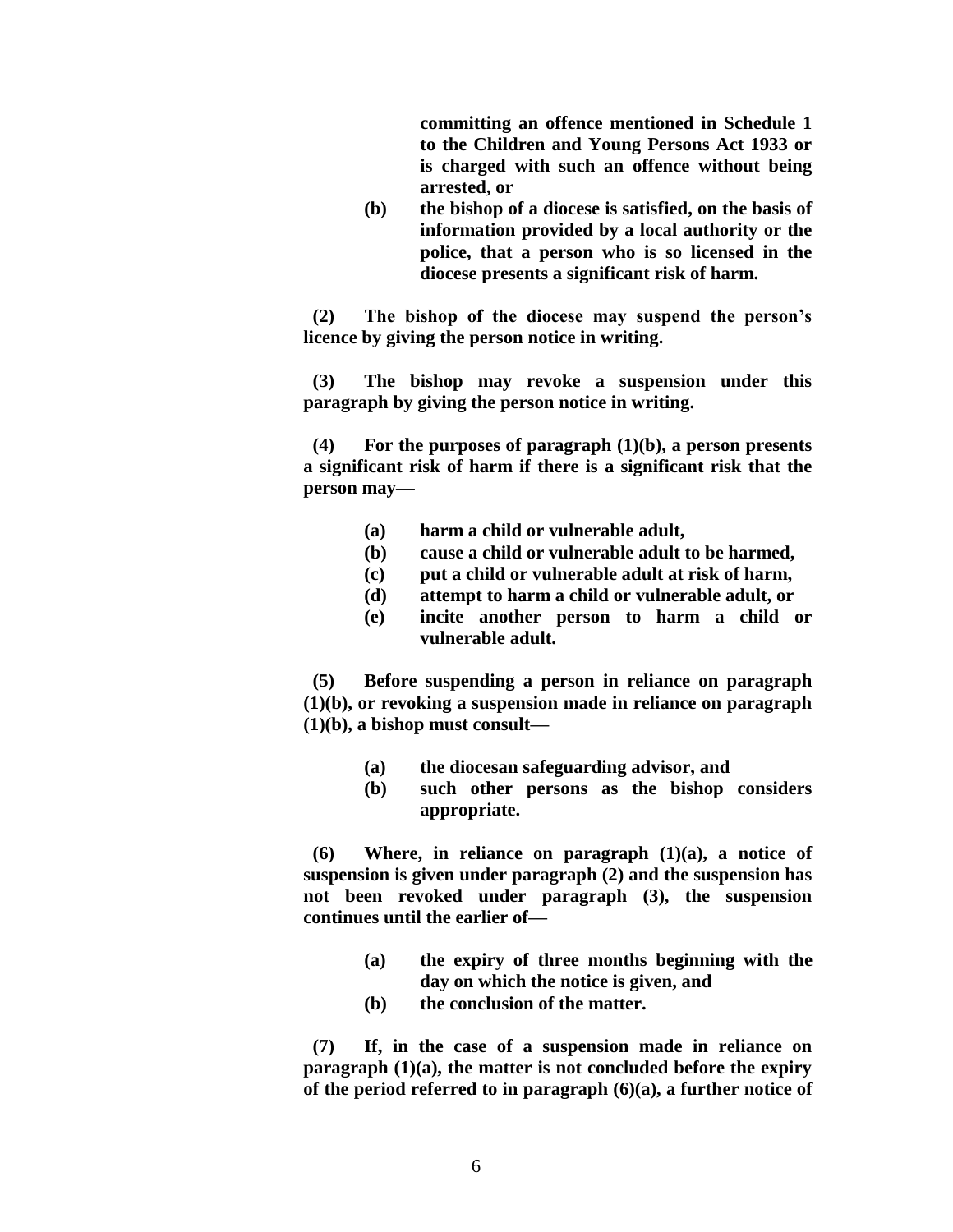**committing an offence mentioned in Schedule 1 to the Children and Young Persons Act 1933 or is charged with such an offence without being arrested, or**

**(b) the bishop of a diocese is satisfied, on the basis of information provided by a local authority or the police, that a person who is so licensed in the diocese presents a significant risk of harm.**

**(2) The bishop of the diocese may suspend the person's licence by giving the person notice in writing.**

 **(3) The bishop may revoke a suspension under this paragraph by giving the person notice in writing.**

 **(4) For the purposes of paragraph (1)(b), a person presents a significant risk of harm if there is a significant risk that the person may—**

- **(a) harm a child or vulnerable adult,**
- **(b) cause a child or vulnerable adult to be harmed,**
- **(c) put a child or vulnerable adult at risk of harm,**
- **(d) attempt to harm a child or vulnerable adult, or**
- **(e) incite another person to harm a child or vulnerable adult.**

 **(5) Before suspending a person in reliance on paragraph (1)(b), or revoking a suspension made in reliance on paragraph (1)(b), a bishop must consult—**

- **(a) the diocesan safeguarding advisor, and**
- **(b) such other persons as the bishop considers appropriate.**

 **(6) Where, in reliance on paragraph (1)(a), a notice of suspension is given under paragraph (2) and the suspension has not been revoked under paragraph (3), the suspension continues until the earlier of—**

- **(a) the expiry of three months beginning with the day on which the notice is given, and**
- **(b) the conclusion of the matter.**

 **(7) If, in the case of a suspension made in reliance on paragraph (1)(a), the matter is not concluded before the expiry of the period referred to in paragraph (6)(a), a further notice of**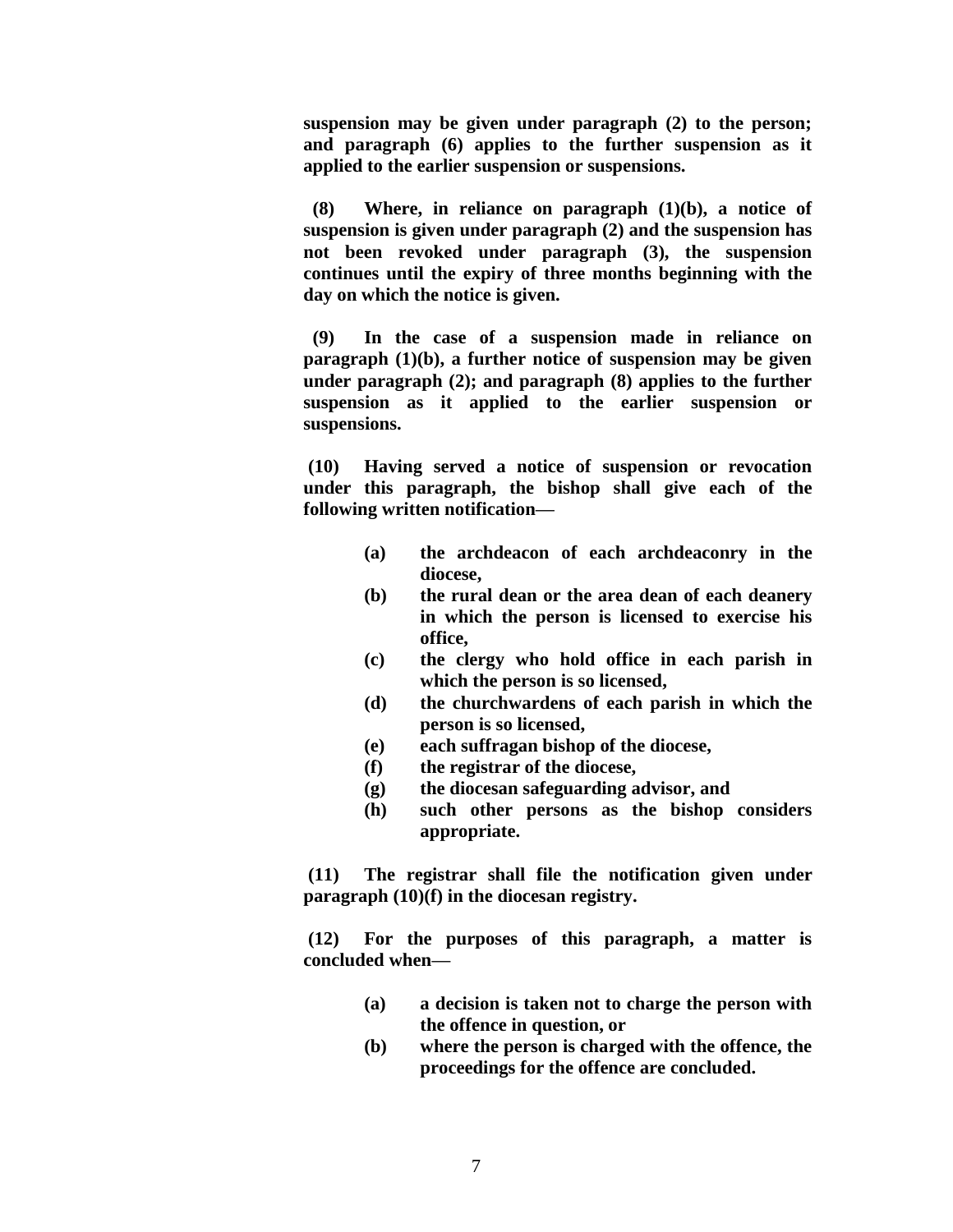**suspension may be given under paragraph (2) to the person; and paragraph (6) applies to the further suspension as it applied to the earlier suspension or suspensions.**

 **(8) Where, in reliance on paragraph (1)(b), a notice of suspension is given under paragraph (2) and the suspension has not been revoked under paragraph (3), the suspension continues until the expiry of three months beginning with the day on which the notice is given.**

 **(9) In the case of a suspension made in reliance on paragraph (1)(b), a further notice of suspension may be given under paragraph (2); and paragraph (8) applies to the further suspension as it applied to the earlier suspension or suspensions.**

**(10) Having served a notice of suspension or revocation under this paragraph, the bishop shall give each of the following written notification—**

- **(a) the archdeacon of each archdeaconry in the diocese,**
- **(b) the rural dean or the area dean of each deanery in which the person is licensed to exercise his office,**
- **(c) the clergy who hold office in each parish in which the person is so licensed,**
- **(d) the churchwardens of each parish in which the person is so licensed,**
- **(e) each suffragan bishop of the diocese,**
- **(f) the registrar of the diocese,**
- **(g) the diocesan safeguarding advisor, and**
- **(h) such other persons as the bishop considers appropriate.**

**(11) The registrar shall file the notification given under paragraph (10)(f) in the diocesan registry.**

**(12) For the purposes of this paragraph, a matter is concluded when—**

- **(a) a decision is taken not to charge the person with the offence in question, or**
- **(b) where the person is charged with the offence, the proceedings for the offence are concluded.**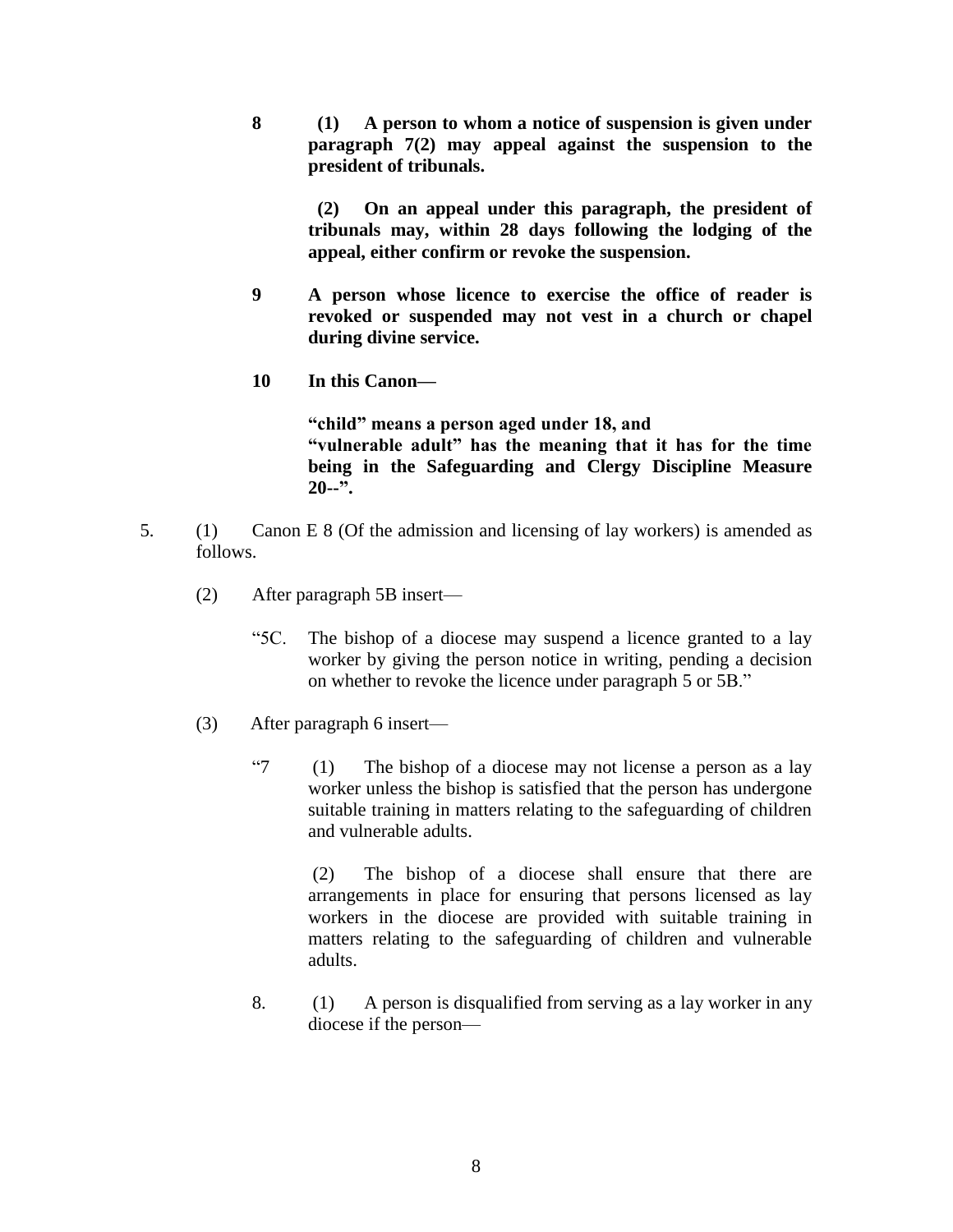**8 (1) A person to whom a notice of suspension is given under paragraph 7(2) may appeal against the suspension to the president of tribunals.**

 **(2) On an appeal under this paragraph, the president of tribunals may, within 28 days following the lodging of the appeal, either confirm or revoke the suspension.**

- **9 A person whose licence to exercise the office of reader is revoked or suspended may not vest in a church or chapel during divine service.**
- **10 In this Canon—**

**"child" means a person aged under 18, and "vulnerable adult" has the meaning that it has for the time being in the Safeguarding and Clergy Discipline Measure 20--".**

- 5. (1) Canon E 8 (Of the admission and licensing of lay workers) is amended as follows.
	- (2) After paragraph 5B insert—
		- "5C. The bishop of a diocese may suspend a licence granted to a lay worker by giving the person notice in writing, pending a decision on whether to revoke the licence under paragraph 5 or 5B."
	- (3) After paragraph 6 insert—
		- "7 (1) The bishop of a diocese may not license a person as a lay worker unless the bishop is satisfied that the person has undergone suitable training in matters relating to the safeguarding of children and vulnerable adults.

(2) The bishop of a diocese shall ensure that there are arrangements in place for ensuring that persons licensed as lay workers in the diocese are provided with suitable training in matters relating to the safeguarding of children and vulnerable adults.

8. (1) A person is disqualified from serving as a lay worker in any diocese if the person—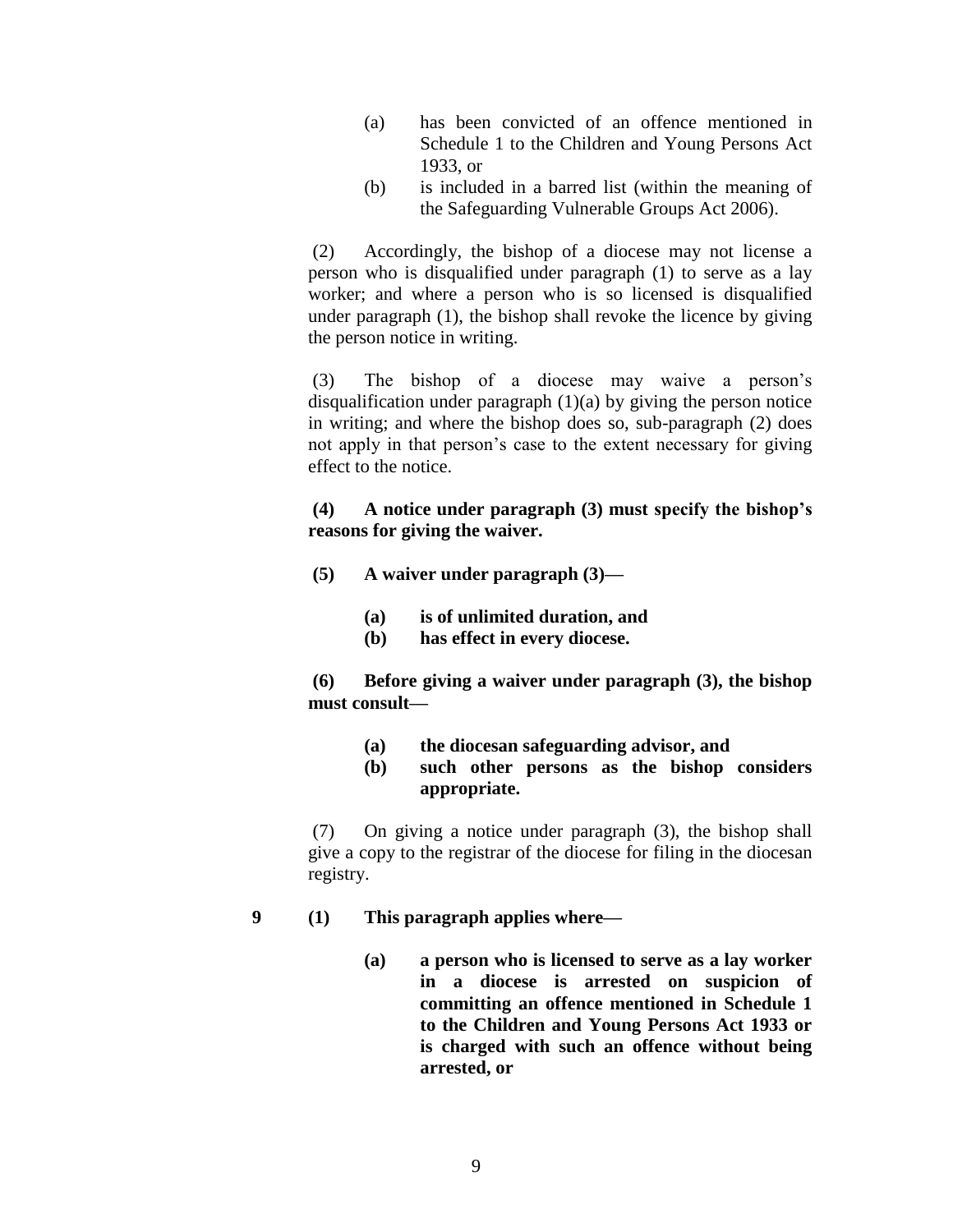- (a) has been convicted of an offence mentioned in Schedule 1 to the Children and Young Persons Act 1933, or
- (b) is included in a barred list (within the meaning of the Safeguarding Vulnerable Groups Act 2006).

(2) Accordingly, the bishop of a diocese may not license a person who is disqualified under paragraph (1) to serve as a lay worker; and where a person who is so licensed is disqualified under paragraph (1), the bishop shall revoke the licence by giving the person notice in writing.

(3) The bishop of a diocese may waive a person's disqualification under paragraph (1)(a) by giving the person notice in writing; and where the bishop does so, sub-paragraph (2) does not apply in that person's case to the extent necessary for giving effect to the notice.

**(4) A notice under paragraph (3) must specify the bishop's reasons for giving the waiver.**

- **(5) A waiver under paragraph (3)—**
	- **(a) is of unlimited duration, and**
	- **(b) has effect in every diocese.**

**(6) Before giving a waiver under paragraph (3), the bishop must consult—**

- **(a) the diocesan safeguarding advisor, and**
- **(b) such other persons as the bishop considers appropriate.**

(7) On giving a notice under paragraph (3), the bishop shall give a copy to the registrar of the diocese for filing in the diocesan registry.

- 
- **9 (1) This paragraph applies where—**
	- **(a) a person who is licensed to serve as a lay worker in a diocese is arrested on suspicion of committing an offence mentioned in Schedule 1 to the Children and Young Persons Act 1933 or is charged with such an offence without being arrested, or**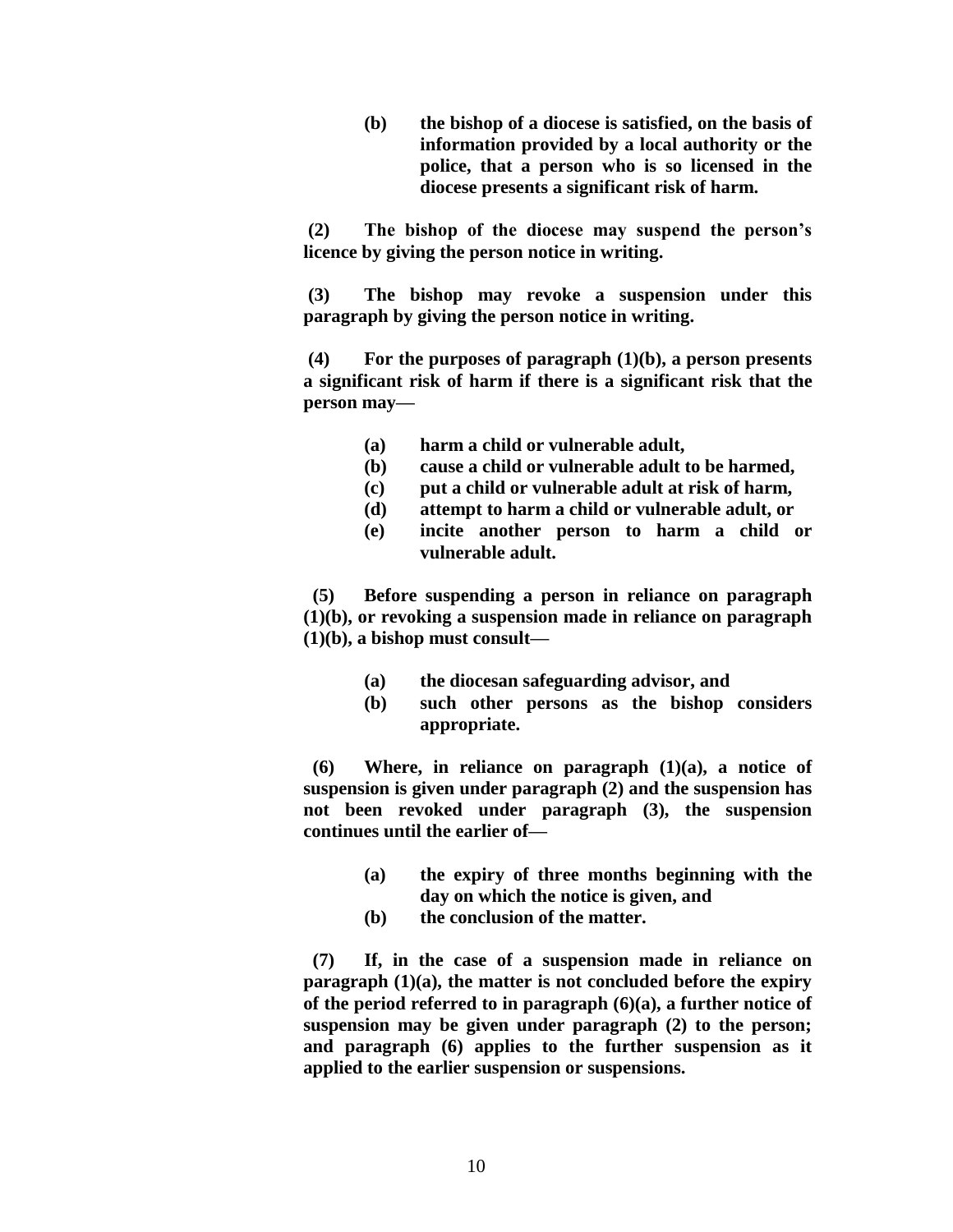**(b) the bishop of a diocese is satisfied, on the basis of information provided by a local authority or the police, that a person who is so licensed in the diocese presents a significant risk of harm.**

**(2) The bishop of the diocese may suspend the person's licence by giving the person notice in writing.**

**(3) The bishop may revoke a suspension under this paragraph by giving the person notice in writing.**

**(4) For the purposes of paragraph (1)(b), a person presents a significant risk of harm if there is a significant risk that the person may—**

- **(a) harm a child or vulnerable adult,**
- **(b) cause a child or vulnerable adult to be harmed,**
- **(c) put a child or vulnerable adult at risk of harm,**
- **(d) attempt to harm a child or vulnerable adult, or**
- **(e) incite another person to harm a child or vulnerable adult.**

 **(5) Before suspending a person in reliance on paragraph (1)(b), or revoking a suspension made in reliance on paragraph (1)(b), a bishop must consult—**

- **(a) the diocesan safeguarding advisor, and**
- **(b) such other persons as the bishop considers appropriate.**

 **(6) Where, in reliance on paragraph (1)(a), a notice of suspension is given under paragraph (2) and the suspension has not been revoked under paragraph (3), the suspension continues until the earlier of—**

- **(a) the expiry of three months beginning with the day on which the notice is given, and**
- **(b) the conclusion of the matter.**

 **(7) If, in the case of a suspension made in reliance on paragraph (1)(a), the matter is not concluded before the expiry of the period referred to in paragraph (6)(a), a further notice of suspension may be given under paragraph (2) to the person; and paragraph (6) applies to the further suspension as it applied to the earlier suspension or suspensions.**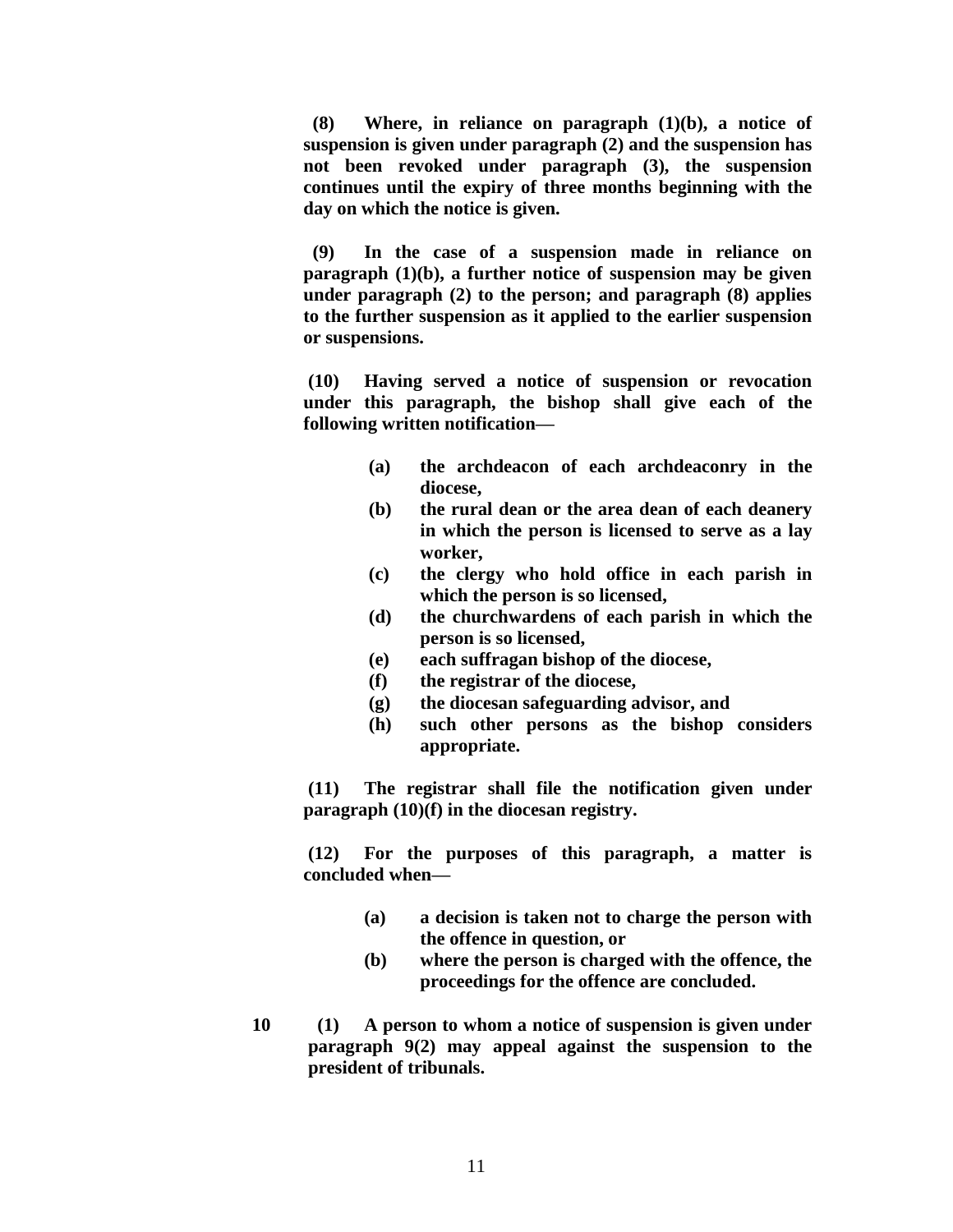**(8) Where, in reliance on paragraph (1)(b), a notice of suspension is given under paragraph (2) and the suspension has not been revoked under paragraph (3), the suspension continues until the expiry of three months beginning with the day on which the notice is given.**

 **(9) In the case of a suspension made in reliance on paragraph (1)(b), a further notice of suspension may be given under paragraph (2) to the person; and paragraph (8) applies to the further suspension as it applied to the earlier suspension or suspensions.**

**(10) Having served a notice of suspension or revocation under this paragraph, the bishop shall give each of the following written notification—**

- **(a) the archdeacon of each archdeaconry in the diocese,**
- **(b) the rural dean or the area dean of each deanery in which the person is licensed to serve as a lay worker,**
- **(c) the clergy who hold office in each parish in which the person is so licensed,**
- **(d) the churchwardens of each parish in which the person is so licensed,**
- **(e) each suffragan bishop of the diocese,**
- **(f) the registrar of the diocese,**
- **(g) the diocesan safeguarding advisor, and**
- **(h) such other persons as the bishop considers appropriate.**

**(11) The registrar shall file the notification given under paragraph (10)(f) in the diocesan registry.**

**(12) For the purposes of this paragraph, a matter is concluded when—**

- **(a) a decision is taken not to charge the person with the offence in question, or**
- **(b) where the person is charged with the offence, the proceedings for the offence are concluded.**
- **10 (1) A person to whom a notice of suspension is given under paragraph 9(2) may appeal against the suspension to the president of tribunals.**